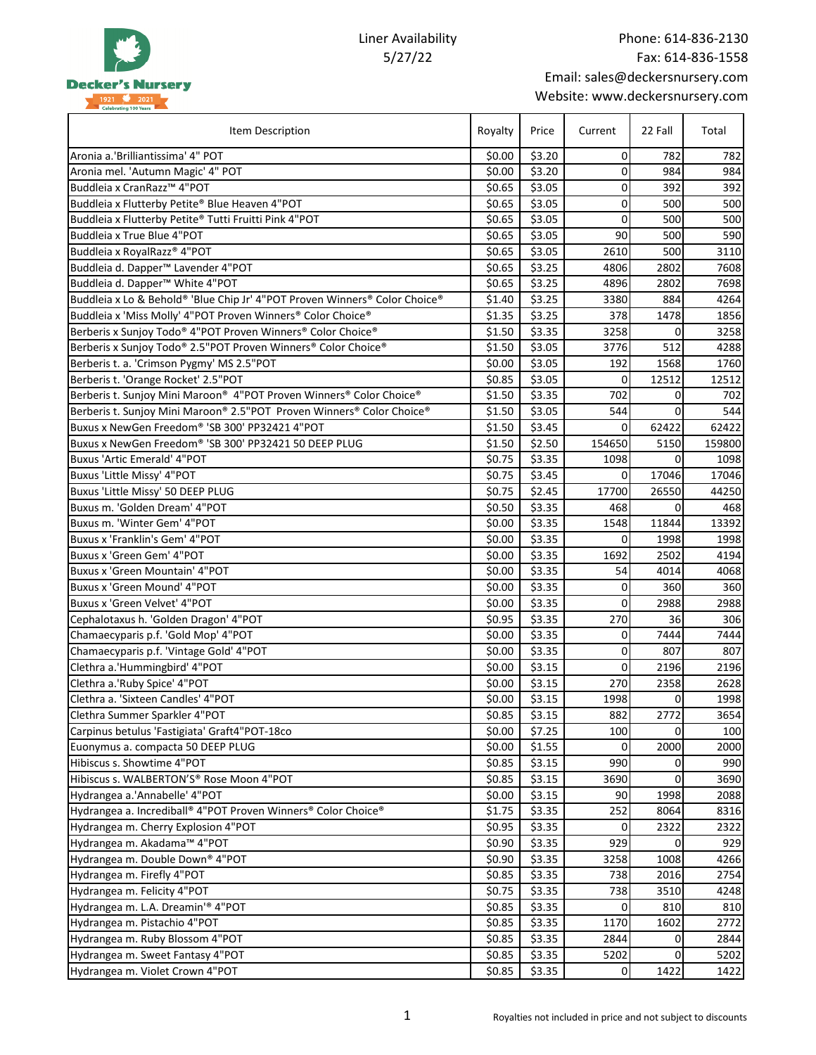

Liner Availability 5/27/22

| Item Description                                                           |        | Price  | Current     | 22 Fall | Total       |
|----------------------------------------------------------------------------|--------|--------|-------------|---------|-------------|
| Aronia a.'Brilliantissima' 4" POT                                          |        | \$3.20 | 0           | 782     | 782         |
| Aronia mel. 'Autumn Magic' 4" POT                                          | \$0.00 | \$3.20 | $\mathbf 0$ | 984     | 984         |
| Buddleia x CranRazz <sup>™</sup> 4"POT                                     |        | \$3.05 | 0           | 392     | 392         |
| Buddleia x Flutterby Petite® Blue Heaven 4"POT                             |        | \$3.05 | 0           | 500     | 500         |
| Buddleia x Flutterby Petite® Tutti Fruitti Pink 4"POT                      | \$0.65 | \$3.05 | $\mathbf 0$ | 500     | 500         |
| Buddleia x True Blue 4"POT                                                 | \$0.65 | \$3.05 | 90          | 500     | 590         |
| Buddleia x RoyalRazz® 4"POT                                                | \$0.65 | \$3.05 | 2610        | 500     | 3110        |
| Buddleia d. Dapper <sup>™</sup> Lavender 4"POT                             | \$0.65 | \$3.25 | 4806        | 2802    | 7608        |
| Buddleia d. Dapper <sup>™</sup> White 4"POT                                | \$0.65 | \$3.25 | 4896        | 2802    | 7698        |
| Buddleia x Lo & Behold® 'Blue Chip Jr' 4"POT Proven Winners® Color Choice® | \$1.40 | \$3.25 | 3380        | 884     | 4264        |
| Buddleia x 'Miss Molly' 4"POT Proven Winners® Color Choice®                | \$1.35 | \$3.25 | 378         | 1478    | 1856        |
| Berberis x Sunjoy Todo® 4"POT Proven Winners® Color Choice®                | \$1.50 | \$3.35 | 3258        | 0       | 3258        |
| Berberis x Sunjoy Todo® 2.5"POT Proven Winners® Color Choice®              | \$1.50 | \$3.05 | 3776        | 512     | 4288        |
| Berberis t. a. 'Crimson Pygmy' MS 2.5"POT                                  | \$0.00 | \$3.05 | 192         | 1568    | 1760        |
| Berberis t. 'Orange Rocket' 2.5"POT                                        | \$0.85 | \$3.05 | 0           | 12512   | 12512       |
| Berberis t. Sunjoy Mini Maroon® 4"POT Proven Winners® Color Choice®        | \$1.50 | \$3.35 | 702         | 0       | 702         |
| Berberis t. Sunjoy Mini Maroon® 2.5"POT Proven Winners® Color Choice®      | \$1.50 | \$3.05 | 544         | 0       | 544         |
| Buxus x NewGen Freedom® 'SB 300' PP32421 4"POT                             | \$1.50 | \$3.45 | 0           | 62422   | 62422       |
| Buxus x NewGen Freedom® 'SB 300' PP32421 50 DEEP PLUG                      | \$1.50 | \$2.50 | 154650      | 5150    | 159800      |
| <b>Buxus 'Artic Emerald' 4"POT</b>                                         | \$0.75 | \$3.35 | 1098        | 0       | 1098        |
| Buxus 'Little Missy' 4"POT                                                 | \$0.75 | \$3.45 | 0           | 17046   | 17046       |
| Buxus 'Little Missy' 50 DEEP PLUG                                          | \$0.75 | \$2.45 | 17700       | 26550   | 44250       |
| Buxus m. 'Golden Dream' 4"POT                                              | \$0.50 | \$3.35 | 468         | 0       | 468         |
| Buxus m. 'Winter Gem' 4"POT                                                | \$0.00 | \$3.35 | 1548        | 11844   | 13392       |
| Buxus x 'Franklin's Gem' 4"POT                                             | \$0.00 | \$3.35 | 0           | 1998    | 1998        |
| Buxus x 'Green Gem' 4"POT                                                  | \$0.00 | \$3.35 | 1692        | 2502    | 4194        |
| Buxus x 'Green Mountain' 4"POT                                             | \$0.00 | \$3.35 | 54          | 4014    | 4068        |
| Buxus x 'Green Mound' 4"POT                                                | \$0.00 | \$3.35 | 0           | 360     | 360         |
| Buxus x 'Green Velvet' 4"POT                                               | \$0.00 | \$3.35 | 0           | 2988    | 2988        |
| Cephalotaxus h. 'Golden Dragon' 4"POT                                      | \$0.95 | \$3.35 | 270         | 36      | 306         |
| Chamaecyparis p.f. 'Gold Mop' 4"POT                                        | \$0.00 | \$3.35 | 0           | 7444    | 7444        |
| Chamaecyparis p.f. 'Vintage Gold' 4"POT                                    | \$0.00 | \$3.35 | 0           | 807     | 807         |
| Clethra a.'Hummingbird' 4"POT                                              | \$0.00 | \$3.15 | 0           | 2196    | 2196        |
| Clethra a.'Ruby Spice' 4"POT                                               | \$0.00 | \$3.15 | 270         | 2358    | 2628        |
| Clethra a. 'Sixteen Candles' 4"POT                                         | \$0.00 | \$3.15 | 1998        | 0       | 1998        |
| Clethra Summer Sparkler 4"POT                                              | \$0.85 | \$3.15 | 882         | 2772    | 3654        |
| Carpinus betulus 'Fastigiata' Graft4"POT-18co                              | \$0.00 | \$7.25 | 100         | 0       | 100         |
| Euonymus a. compacta 50 DEEP PLUG                                          | \$0.00 | \$1.55 | 0           | 2000    | 2000        |
| Hibiscus s. Showtime 4"POT                                                 | \$0.85 | \$3.15 | 990         | 0       | 990         |
| Hibiscus s. WALBERTON'S® Rose Moon 4"POT                                   | \$0.85 | \$3.15 | 3690        | 0       | 3690        |
| Hydrangea a.'Annabelle' 4"POT                                              | \$0.00 | \$3.15 | 90          | 1998    | 2088        |
| Hydrangea a. Incrediball® 4"POT Proven Winners® Color Choice®              | \$1.75 | \$3.35 | 252         | 8064    | 8316        |
|                                                                            | \$0.95 | \$3.35 | 0           | 2322    |             |
| Hydrangea m. Cherry Explosion 4"POT<br>Hydrangea m. Akadama™ 4"POT         | \$0.90 | \$3.35 | 929         | 0       | 2322<br>929 |
|                                                                            |        | \$3.35 |             |         |             |
| Hydrangea m. Double Down® 4"POT                                            |        |        | 3258        | 1008    | 4266        |
| Hydrangea m. Firefly 4"POT                                                 |        | \$3.35 | 738         | 2016    | 2754        |
| Hydrangea m. Felicity 4"POT                                                |        | \$3.35 | 738         | 3510    | 4248        |
| Hydrangea m. L.A. Dreamin'® 4"POT                                          | \$0.85 | \$3.35 | 0           | 810     | 810         |
| Hydrangea m. Pistachio 4"POT                                               | \$0.85 | \$3.35 | 1170        | 1602    | 2772        |
| Hydrangea m. Ruby Blossom 4"POT                                            | \$0.85 | \$3.35 | 2844        | 0       | 2844        |
| Hydrangea m. Sweet Fantasy 4"POT                                           | \$0.85 | \$3.35 | 5202        | 0       | 5202        |
| Hydrangea m. Violet Crown 4"POT                                            | \$0.85 | \$3.35 | 0           | 1422    | 1422        |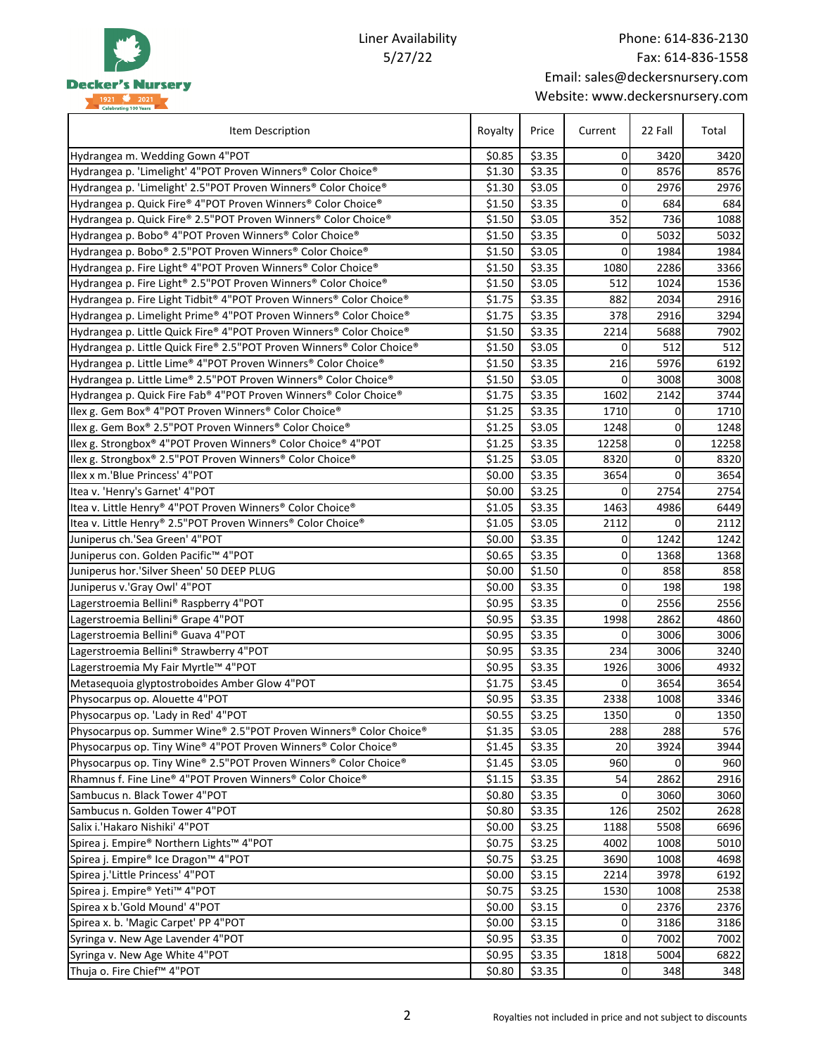

## Liner Availability 5/27/22

| Item Description                                                      | Royalty | Price  | Current     | 22 Fall        | Total |
|-----------------------------------------------------------------------|---------|--------|-------------|----------------|-------|
| Hydrangea m. Wedding Gown 4"POT                                       | \$0.85  | \$3.35 | $\mathbf 0$ | 3420           | 3420  |
| Hydrangea p. 'Limelight' 4"POT Proven Winners® Color Choice®          | \$1.30  | \$3.35 | 0           | 8576           | 8576  |
| Hydrangea p. 'Limelight' 2.5"POT Proven Winners® Color Choice®        | \$1.30  | \$3.05 | $\mathbf 0$ | 2976           | 2976  |
| Hydrangea p. Quick Fire® 4"POT Proven Winners® Color Choice®          | \$1.50  | \$3.35 | $\mathbf 0$ | 684            | 684   |
| Hydrangea p. Quick Fire® 2.5"POT Proven Winners® Color Choice®        | \$1.50  | \$3.05 | 352         | 736            | 1088  |
| Hydrangea p. Bobo® 4"POT Proven Winners® Color Choice®                | \$1.50  | \$3.35 | $\mathbf 0$ | 5032           | 5032  |
| Hydrangea p. Bobo® 2.5"POT Proven Winners® Color Choice®              | \$1.50  | \$3.05 | $\mathbf 0$ | 1984           | 1984  |
| Hydrangea p. Fire Light® 4"POT Proven Winners® Color Choice®          | \$1.50  | \$3.35 | 1080        | 2286           | 3366  |
| Hydrangea p. Fire Light® 2.5"POT Proven Winners® Color Choice®        | \$1.50  | \$3.05 | 512         | 1024           | 1536  |
| Hydrangea p. Fire Light Tidbit® 4"POT Proven Winners® Color Choice®   | \$1.75  | \$3.35 | 882         | 2034           | 2916  |
| Hydrangea p. Limelight Prime® 4"POT Proven Winners® Color Choice®     | \$1.75  | \$3.35 | 378         | 2916           | 3294  |
| Hydrangea p. Little Quick Fire® 4"POT Proven Winners® Color Choice®   | \$1.50  | \$3.35 | 2214        | 5688           | 7902  |
| Hydrangea p. Little Quick Fire® 2.5"POT Proven Winners® Color Choice® | \$1.50  | \$3.05 | 0           | 512            | 512   |
| Hydrangea p. Little Lime® 4"POT Proven Winners® Color Choice®         | \$1.50  | \$3.35 | 216         | 5976           | 6192  |
| Hydrangea p. Little Lime® 2.5"POT Proven Winners® Color Choice®       | \$1.50  | \$3.05 | $\Omega$    | 3008           | 3008  |
| Hydrangea p. Quick Fire Fab® 4"POT Proven Winners® Color Choice®      | \$1.75  | \$3.35 | 1602        | 2142           | 3744  |
| Ilex g. Gem Box® 4"POT Proven Winners® Color Choice®                  | \$1.25  | \$3.35 | 1710        | $\Omega$       | 1710  |
| Ilex g. Gem Box® 2.5"POT Proven Winners® Color Choice®                | \$1.25  | \$3.05 | 1248        | 0              | 1248  |
| Ilex g. Strongbox® 4"POT Proven Winners® Color Choice® 4"POT          | \$1.25  | \$3.35 | 12258       | 0              | 12258 |
| Ilex g. Strongbox® 2.5"POT Proven Winners® Color Choice®              | \$1.25  | \$3.05 | 8320        | 0              | 8320  |
| Ilex x m.'Blue Princess' 4"POT                                        | \$0.00  | \$3.35 | 3654        | $\Omega$       | 3654  |
| Itea v. 'Henry's Garnet' 4"POT                                        | \$0.00  | \$3.25 | 0           | 2754           | 2754  |
| Itea v. Little Henry® 4"POT Proven Winners® Color Choice®             | \$1.05  | \$3.35 | 1463        | 4986           | 6449  |
| Itea v. Little Henry® 2.5"POT Proven Winners® Color Choice®           | \$1.05  | \$3.05 | 2112        | 0              | 2112  |
| Juniperus ch.'Sea Green' 4"POT                                        | \$0.00  | \$3.35 | $\mathbf 0$ | 1242           | 1242  |
| Juniperus con. Golden Pacific™ 4"POT                                  | \$0.65  | \$3.35 | $\mathbf 0$ | 1368           | 1368  |
| Juniperus hor.'Silver Sheen' 50 DEEP PLUG                             | \$0.00  | \$1.50 | 0           | 858            | 858   |
| Juniperus v.'Gray Owl' 4"POT                                          | \$0.00  | \$3.35 | 0           | 198            | 198   |
| Lagerstroemia Bellini® Raspberry 4"POT                                | \$0.95  | \$3.35 | 0           | 2556           | 2556  |
| Lagerstroemia Bellini® Grape 4"POT                                    | \$0.95  | \$3.35 | 1998        | 2862           | 4860  |
| Lagerstroemia Bellini® Guava 4"POT                                    | \$0.95  | \$3.35 | 0           | 3006           | 3006  |
| Lagerstroemia Bellini® Strawberry 4"POT                               | \$0.95  | \$3.35 | 234         | 3006           | 3240  |
| Lagerstroemia My Fair Myrtle™ 4"POT                                   | \$0.95  | \$3.35 | 1926        | 3006           | 4932  |
| Metasequoia glyptostroboides Amber Glow 4"POT                         | \$1.75  | \$3.45 | 0           | 3654           | 3654  |
| Physocarpus op. Alouette 4"POT                                        | \$0.95  | \$3.35 | 2338        | 1008           | 3346  |
| Physocarpus op. 'Lady in Red' 4"POT                                   | \$0.55  | \$3.25 | 1350        | $\overline{0}$ | 1350  |
| Physocarpus op. Summer Wine® 2.5"POT Proven Winners® Color Choice®    | \$1.35  | \$3.05 | 288         | 288            | 576   |
| Physocarpus op. Tiny Wine® 4"POT Proven Winners® Color Choice®        | \$1.45  | \$3.35 | 20          | 3924           | 3944  |
| Physocarpus op. Tiny Wine® 2.5"POT Proven Winners® Color Choice®      | \$1.45  | \$3.05 | 960         | 0              | 960   |
| Rhamnus f. Fine Line® 4"POT Proven Winners® Color Choice®             | \$1.15  | \$3.35 | 54          | 2862           | 2916  |
| Sambucus n. Black Tower 4"POT                                         | \$0.80  | \$3.35 | 0           | 3060           | 3060  |
| Sambucus n. Golden Tower 4"POT                                        | \$0.80  | \$3.35 | 126         | 2502           | 2628  |
| Salix i.'Hakaro Nishiki' 4"POT                                        | \$0.00  | \$3.25 | 1188        | 5508           | 6696  |
| Spirea j. Empire® Northern Lights™ 4"POT                              | \$0.75  | \$3.25 | 4002        | 1008           | 5010  |
| Spirea j. Empire® Ice Dragon™ 4"POT                                   | \$0.75  | \$3.25 | 3690        | 1008           | 4698  |
| Spirea j.'Little Princess' 4"POT                                      | \$0.00  | \$3.15 | 2214        | 3978           | 6192  |
| Spirea j. Empire® Yeti™ 4"POT                                         | \$0.75  | \$3.25 | 1530        | 1008           | 2538  |
| Spirea x b.'Gold Mound' 4"POT                                         | \$0.00  | \$3.15 | 0           | 2376           | 2376  |
| Spirea x. b. 'Magic Carpet' PP 4"POT                                  | \$0.00  | \$3.15 | 0           | 3186           | 3186  |
| Syringa v. New Age Lavender 4"POT                                     | \$0.95  | \$3.35 | 0           | 7002           | 7002  |
| Syringa v. New Age White 4"POT                                        | \$0.95  | \$3.35 | 1818        | 5004           | 6822  |
| Thuja o. Fire Chief™ 4"POT                                            | \$0.80  | \$3.35 | 0           | 348            | 348   |